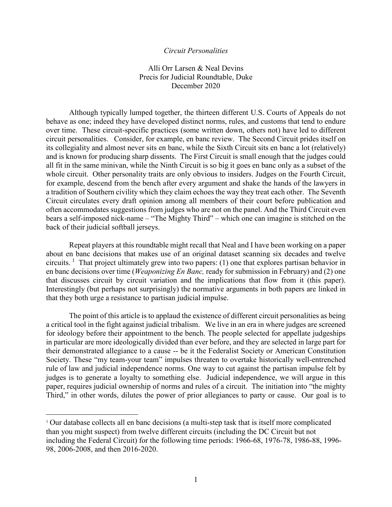## *Circuit Personalities*

Alli Orr Larsen & Neal Devins Precis for Judicial Roundtable, Duke December 2020

Although typically lumped together, the thirteen different U.S. Courts of Appeals do not behave as one; indeed they have developed distinct norms, rules, and customs that tend to endure over time. These circuit-specific practices (some written down, others not) have led to different circuit personalities. Consider, for example, en banc review. The Second Circuit prides itself on its collegiality and almost never sits en banc, while the Sixth Circuit sits en banc a lot (relatively) and is known for producing sharp dissents. The First Circuit is small enough that the judges could all fit in the same minivan, while the Ninth Circuit is so big it goes en banc only as a subset of the whole circuit. Other personality traits are only obvious to insiders. Judges on the Fourth Circuit, for example, descend from the bench after every argument and shake the hands of the lawyers in a tradition of Southern civility which they claim echoes the way they treat each other. The Seventh Circuit circulates every draft opinion among all members of their court before publication and often accommodates suggestions from judges who are not on the panel. And the Third Circuit even bears a self-imposed nick-name – "The Mighty Third" – which one can imagine is stitched on the back of their judicial softball jerseys.

Repeat players at this roundtable might recall that Neal and I have been working on a paper about en banc decisions that makes use of an original dataset scanning six decades and twelve circuits. <sup>[1](#page-0-0)</sup> That project ultimately grew into two papers: (1) one that explores partisan behavior in en banc decisions over time (*Weaponizing En Banc,* ready for submission in February) and (2) one that discusses circuit by circuit variation and the implications that flow from it (this paper). Interestingly (but perhaps not surprisingly) the normative arguments in both papers are linked in that they both urge a resistance to partisan judicial impulse.

The point of this article is to applaud the existence of different circuit personalities as being a critical tool in the fight against judicial tribalism. We live in an era in where judges are screened for ideology before their appointment to the bench. The people selected for appellate judgeships in particular are more ideologically divided than ever before, and they are selected in large part for their demonstrated allegiance to a cause -- be it the Federalist Society or American Constitution Society. These "my team-your team" impulses threaten to overtake historically well-entrenched rule of law and judicial independence norms. One way to cut against the partisan impulse felt by judges is to generate a loyalty to something else. Judicial independence, we will argue in this paper, requires judicial ownership of norms and rules of a circuit. The initiation into "the mighty Third," in other words, dilutes the power of prior allegiances to party or cause. Our goal is to

<span id="page-0-0"></span><sup>&</sup>lt;sup>1</sup> Our database collects all en banc decisions (a multi-step task that is itself more complicated than you might suspect) from twelve different circuits (including the DC Circuit but not including the Federal Circuit) for the following time periods: 1966-68, 1976-78, 1986-88, 1996- 98, 2006-2008, and then 2016-2020.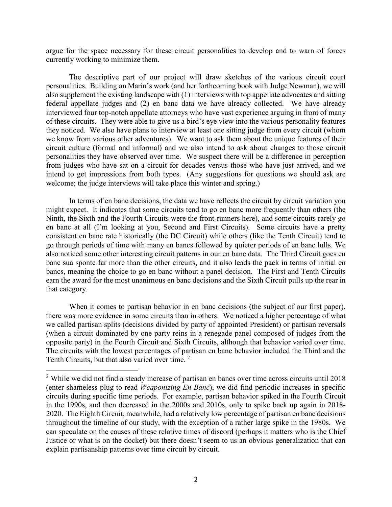argue for the space necessary for these circuit personalities to develop and to warn of forces currently working to minimize them.

The descriptive part of our project will draw sketches of the various circuit court personalities. Building on Marin's work (and her forthcoming book with Judge Newman), we will also supplement the existing landscape with (1) interviews with top appellate advocates and sitting federal appellate judges and (2) en banc data we have already collected. We have already interviewed four top-notch appellate attorneys who have vast experience arguing in front of many of these circuits. They were able to give us a bird's eye view into the various personality features they noticed. We also have plans to interview at least one sitting judge from every circuit (whom we know from various other adventures). We want to ask them about the unique features of their circuit culture (formal and informal) and we also intend to ask about changes to those circuit personalities they have observed over time. We suspect there will be a difference in perception from judges who have sat on a circuit for decades versus those who have just arrived, and we intend to get impressions from both types. (Any suggestions for questions we should ask are welcome; the judge interviews will take place this winter and spring.)

In terms of en banc decisions, the data we have reflects the circuit by circuit variation you might expect. It indicates that some circuits tend to go en banc more frequently than others (the Ninth, the Sixth and the Fourth Circuits were the front-runners here), and some circuits rarely go en banc at all (I'm looking at you, Second and First Circuits). Some circuits have a pretty consistent en banc rate historically (the DC Circuit) while others (like the Tenth Circuit) tend to go through periods of time with many en bancs followed by quieter periods of en banc lulls. We also noticed some other interesting circuit patterns in our en banc data. The Third Circuit goes en banc sua sponte far more than the other circuits, and it also leads the pack in terms of initial en bancs, meaning the choice to go en banc without a panel decision. The First and Tenth Circuits earn the award for the most unanimous en banc decisions and the Sixth Circuit pulls up the rear in that category.

When it comes to partisan behavior in en banc decisions (the subject of our first paper), there was more evidence in some circuits than in others. We noticed a higher percentage of what we called partisan splits (decisions divided by party of appointed President) or partisan reversals (when a circuit dominated by one party reins in a renegade panel composed of judges from the opposite party) in the Fourth Circuit and Sixth Circuits, although that behavior varied over time. The circuits with the lowest percentages of partisan en banc behavior included the Third and the Tenth Circuits, but that also varied over time.<sup>[2](#page-1-0)</sup>

<span id="page-1-0"></span><sup>&</sup>lt;sup>2</sup> While we did not find a steady increase of partisan en bancs over time across circuits until 2018 (enter shameless plug to read *Weaponizing En Banc*), we did find periodic increases in specific circuits during specific time periods. For example, partisan behavior spiked in the Fourth Circuit in the 1990s, and then decreased in the 2000s and 2010s, only to spike back up again in 2018- 2020. The Eighth Circuit, meanwhile, had a relatively low percentage of partisan en banc decisions throughout the timeline of our study, with the exception of a rather large spike in the 1980s. We can speculate on the causes of these relative times of discord (perhaps it matters who is the Chief Justice or what is on the docket) but there doesn't seem to us an obvious generalization that can explain partisanship patterns over time circuit by circuit.